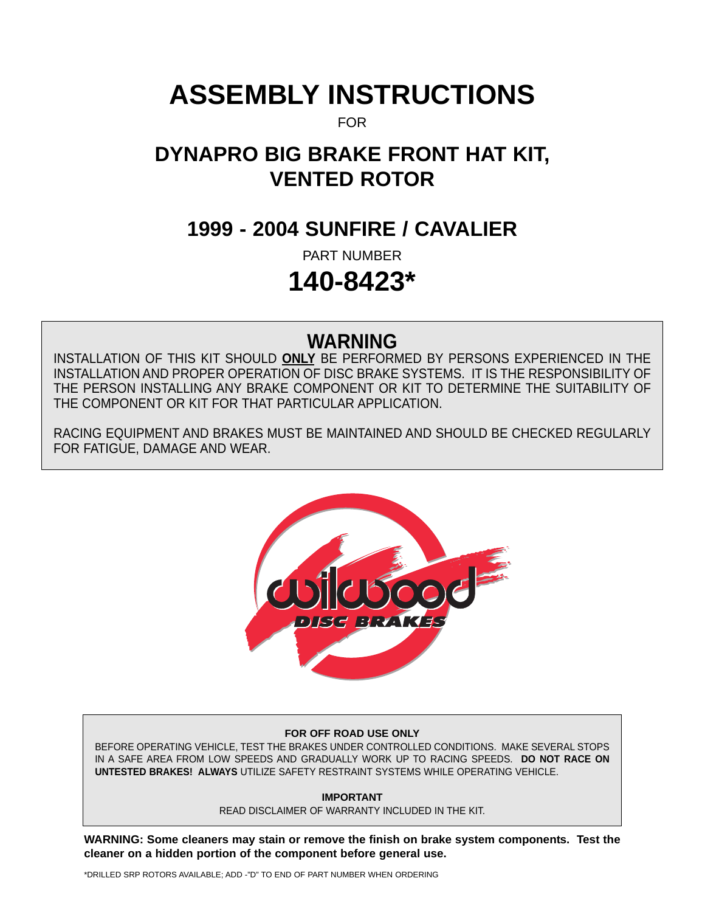# **ASSEMBLY INSTRUCTIONS**

FOR

## **DYNAPRO BIG BRAKE FRONT HAT KIT, VENTED ROTOR**

## **1999 - 2004 SUNFIRE / CAVALIER**

PART NUMBER

## **140-8423\***

## **WARNING**

INSTALLATION OF THIS KIT SHOULD **ONLY** BE PERFORMED BY PERSONS EXPERIENCED IN THE INSTALLATION AND PROPER OPERATION OF DISC BRAKE SYSTEMS. IT IS THE RESPONSIBILITY OF THE PERSON INSTALLING ANY BRAKE COMPONENT OR KIT TO DETERMINE THE SUITABILITY OF THE COMPONENT OR KIT FOR THAT PARTICULAR APPLICATION.

RACING EQUIPMENT AND BRAKES MUST BE MAINTAINED AND SHOULD BE CHECKED REGULARLY FOR FATIGUE, DAMAGE AND WEAR.



#### **FOR OFF ROAD USE ONLY**

BEFORE OPERATING VEHICLE, TEST THE BRAKES UNDER CONTROLLED CONDITIONS. MAKE SEVERAL STOPS IN A SAFE AREA FROM LOW SPEEDS AND GRADUALLY WORK UP TO RACING SPEEDS. **DO NOT RACE ON UNTESTED BRAKES! ALWAYS** UTILIZE SAFETY RESTRAINT SYSTEMS WHILE OPERATING VEHICLE.

**IMPORTANT**

READ DISCLAIMER OF WARRANTY INCLUDED IN THE KIT.

**WARNING: Some cleaners may stain or remove the finish on brake system components. Test the cleaner on a hidden portion of the component before general use.**

\*DRILLED SRP ROTORS AVAILABLE; ADD -"D" TO END OF PART NUMBER WHEN ORDERING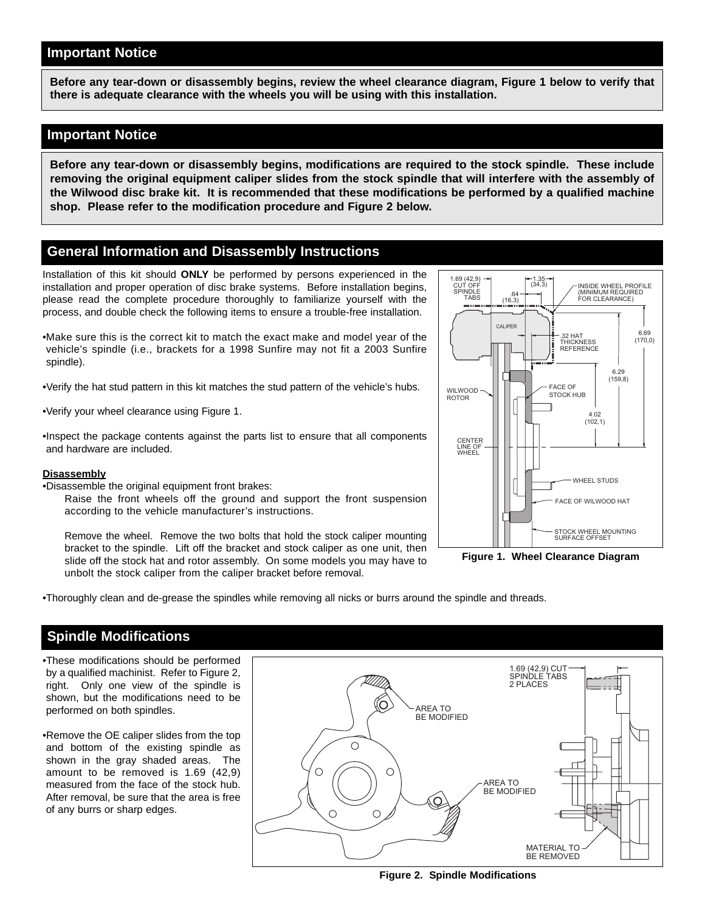#### **Important Notice**

**Before any tear-down or disassembly begins, review the wheel clearance diagram, Figure 1 below to verify that there is adequate clearance with the wheels you will be using with this installation.**

#### **Important Notice**

**Before any tear-down or disassembly begins, modifications are required to the stock spindle. These include removing the original equipment caliper slides from the stock spindle that will interfere with the assembly of the Wilwood disc brake kit. It is recommended that these modifications be performed by a qualified machine shop. Please refer to the modification procedure and Figure 2 below.**

#### **General Information and Disassembly Instructions**

Installation of this kit should **ONLY** be performed by persons experienced in the installation and proper operation of disc brake systems. Before installation begins, please read the complete procedure thoroughly to familiarize yourself with the process, and double check the following items to ensure a trouble-free installation.

•Make sure this is the correct kit to match the exact make and model year of the vehicle's spindle (i.e., brackets for a 1998 Sunfire may not fit a 2003 Sunfire spindle).

•Verify the hat stud pattern in this kit matches the stud pattern of the vehicle's hubs.

•Verify your wheel clearance using Figure 1.

•Inspect the package contents against the parts list to ensure that all components and hardware are included.

#### **Disassembly**

•Disassemble the original equipment front brakes:

Raise the front wheels off the ground and support the front suspension according to the vehicle manufacturer's instructions.

Remove the wheel. Remove the two bolts that hold the stock caliper mounting bracket to the spindle. Lift off the bracket and stock caliper as one unit, then slide off the stock hat and rotor assembly. On some models you may have to unbolt the stock caliper from the caliper bracket before removal.



**Figure 1. Wheel Clearance Diagram**

•Thoroughly clean and de-grease the spindles while removing all nicks or burrs around the spindle and threads.

#### **Spindle Modifications**

•These modifications should be performed by a qualified machinist. Refer to Figure 2, right. Only one view of the spindle is shown, but the modifications need to be performed on both spindles.

•Remove the OE caliper slides from the top and bottom of the existing spindle as shown in the gray shaded areas. The amount to be removed is 1.69 (42,9) measured from the face of the stock hub. After removal, be sure that the area is free of any burrs or sharp edges.

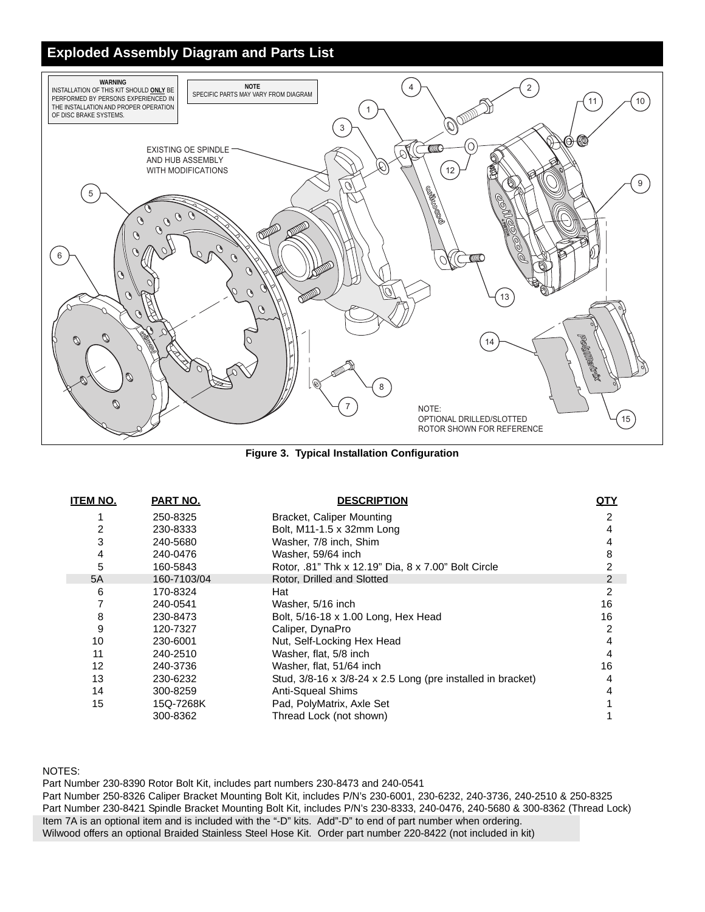#### **Exploded Assembly Diagram and Parts List**



**Figure 3. Typical Installation Configuration**

| <b>ITEM NO.</b> | PART NO.    | <b>DESCRIPTION</b>                                          | <u>QTY</u>    |
|-----------------|-------------|-------------------------------------------------------------|---------------|
|                 | 250-8325    | <b>Bracket, Caliper Mounting</b>                            | 2             |
| 2               | 230-8333    | Bolt, M11-1.5 x 32mm Long                                   | 4             |
| 3               | 240-5680    | Washer, 7/8 inch, Shim                                      | 4             |
| 4               | 240-0476    | Washer, 59/64 inch                                          | 8             |
| 5               | 160-5843    | Rotor, .81" Thk x 12.19" Dia, 8 x 7.00" Bolt Circle         | 2             |
| 5A              | 160-7103/04 | Rotor, Drilled and Slotted                                  | $\mathcal{P}$ |
| 6               | 170-8324    | Hat                                                         | 2             |
|                 | 240-0541    | Washer, 5/16 inch                                           | 16            |
| 8               | 230-8473    | Bolt, 5/16-18 x 1.00 Long, Hex Head                         | 16            |
| 9               | 120-7327    | Caliper, DynaPro                                            | 2             |
| 10              | 230-6001    | Nut, Self-Locking Hex Head                                  | 4             |
| 11              | 240-2510    | Washer, flat, 5/8 inch                                      | 4             |
| 12              | 240-3736    | Washer, flat, 51/64 inch                                    | 16            |
| 13              | 230-6232    | Stud, 3/8-16 x 3/8-24 x 2.5 Long (pre installed in bracket) | 4             |
| 14              | 300-8259    | Anti-Squeal Shims                                           | 4             |
| 15              | 15Q-7268K   | Pad, PolyMatrix, Axle Set                                   |               |
|                 | 300-8362    | Thread Lock (not shown)                                     |               |

NOTES:

Part Number 230-8390 Rotor Bolt Kit, includes part numbers 230-8473 and 240-0541

Part Number 250-8326 Caliper Bracket Mounting Bolt Kit, includes P/N's 230-6001, 230-6232, 240-3736, 240-2510 & 250-8325 Part Number 230-8421 Spindle Bracket Mounting Bolt Kit, includes P/N's 230-8333, 240-0476, 240-5680 & 300-8362 (Thread Lock) Item 7A is an optional item and is included with the "-D" kits. Add"-D" to end of part number when ordering. Wilwood offers an optional Braided Stainless Steel Hose Kit. Order part number 220-8422 (not included in kit)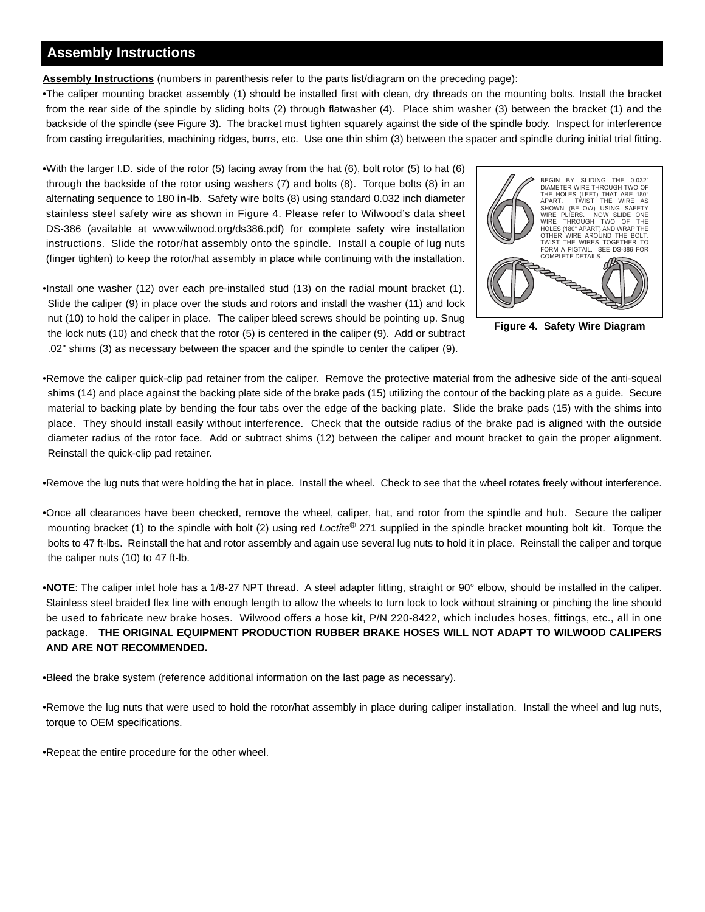#### **Assembly Instructions**

**Assembly Instructions** (numbers in parenthesis refer to the parts list/diagram on the preceding page):

•The caliper mounting bracket assembly (1) should be installed first with clean, dry threads on the mounting bolts. Install the bracket from the rear side of the spindle by sliding bolts (2) through flatwasher (4). Place shim washer (3) between the bracket (1) and the backside of the spindle (see Figure 3). The bracket must tighten squarely against the side of the spindle body. Inspect for interference from casting irregularities, machining ridges, burrs, etc. Use one thin shim (3) between the spacer and spindle during initial trial fitting.

•With the larger I.D. side of the rotor (5) facing away from the hat (6), bolt rotor (5) to hat (6) through the backside of the rotor using washers (7) and bolts (8). Torque bolts (8) in an alternating sequence to 180 **in-lb**. Safety wire bolts (8) using standard 0.032 inch diameter stainless steel safety wire as shown in Figure 4. Please refer to Wilwood's data sheet DS-386 (available at www.wilwood.org/ds386.pdf) for complete safety wire installation instructions. Slide the rotor/hat assembly onto the spindle. Install a couple of lug nuts (finger tighten) to keep the rotor/hat assembly in place while continuing with the installation.



**Figure 4. Safety Wire Diagram**

•Install one washer (12) over each pre-installed stud (13) on the radial mount bracket (1). Slide the caliper (9) in place over the studs and rotors and install the washer (11) and lock nut (10) to hold the caliper in place. The caliper bleed screws should be pointing up. Snug the lock nuts (10) and check that the rotor (5) is centered in the caliper (9). Add or subtract .02" shims (3) as necessary between the spacer and the spindle to center the caliper (9).

•Remove the caliper quick-clip pad retainer from the caliper. Remove the protective material from the adhesive side of the anti-squeal shims (14) and place against the backing plate side of the brake pads (15) utilizing the contour of the backing plate as a guide. Secure material to backing plate by bending the four tabs over the edge of the backing plate. Slide the brake pads (15) with the shims into place. They should install easily without interference. Check that the outside radius of the brake pad is aligned with the outside diameter radius of the rotor face. Add or subtract shims (12) between the caliper and mount bracket to gain the proper alignment. Reinstall the quick-clip pad retainer.

•Remove the lug nuts that were holding the hat in place. Install the wheel. Check to see that the wheel rotates freely without interference.

•Once all clearances have been checked, remove the wheel, caliper, hat, and rotor from the spindle and hub. Secure the caliper mounting bracket (1) to the spindle with bolt (2) using red Loctite® 271 supplied in the spindle bracket mounting bolt kit. Torque the bolts to 47 ft-lbs. Reinstall the hat and rotor assembly and again use several lug nuts to hold it in place. Reinstall the caliper and torque the caliper nuts (10) to 47 ft-lb.

•**NOTE**: The caliper inlet hole has a 1/8-27 NPT thread. A steel adapter fitting, straight or 90° elbow, should be installed in the caliper. Stainless steel braided flex line with enough length to allow the wheels to turn lock to lock without straining or pinching the line should be used to fabricate new brake hoses. Wilwood offers a hose kit, P/N 220-8422, which includes hoses, fittings, etc., all in one package. **THE ORIGINAL EQUIPMENT PRODUCTION RUBBER BRAKE HOSES WILL NOT ADAPT TO WILWOOD CALIPERS AND ARE NOT RECOMMENDED.**

•Bleed the brake system (reference additional information on the last page as necessary).

•Remove the lug nuts that were used to hold the rotor/hat assembly in place during caliper installation. Install the wheel and lug nuts, torque to OEM specifications.

•Repeat the entire procedure for the other wheel.